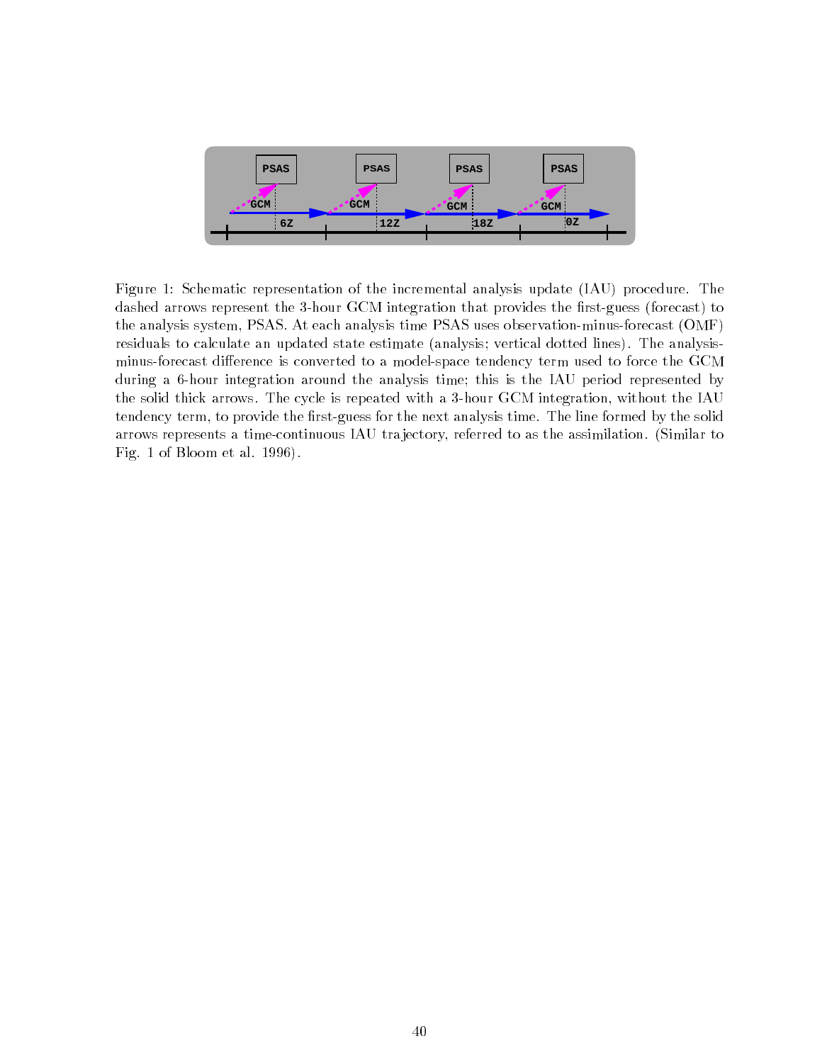

Figure 1: Schematic representation of the incremental analysis update (IAU) procedure. The dashed arrows represent the 3-hour GCM integration that provides the first-guess (forecast) to the analysis system, PSAS. At each analysis time PSAS uses observation-minus-forecast (OMF) residuals to calculate an updated state estimate (analysis; vertical dotted lines). The analysisminus-forecast difference is converted to a model-space tendency term used to force the GCM during a 6-hour integration around the analysis time; this is the IAU period represented by the solid thick arrows. The cycle is repeated with a 3-hour GCM integration, without the IAU tendency term, to provide the first-guess for the next analysis time. The line formed by the solid arrows represents a time-continuous IAU tra jectory, referred to as the assimilation. (Similar to Fig. 1 of Bloom et al. 1996).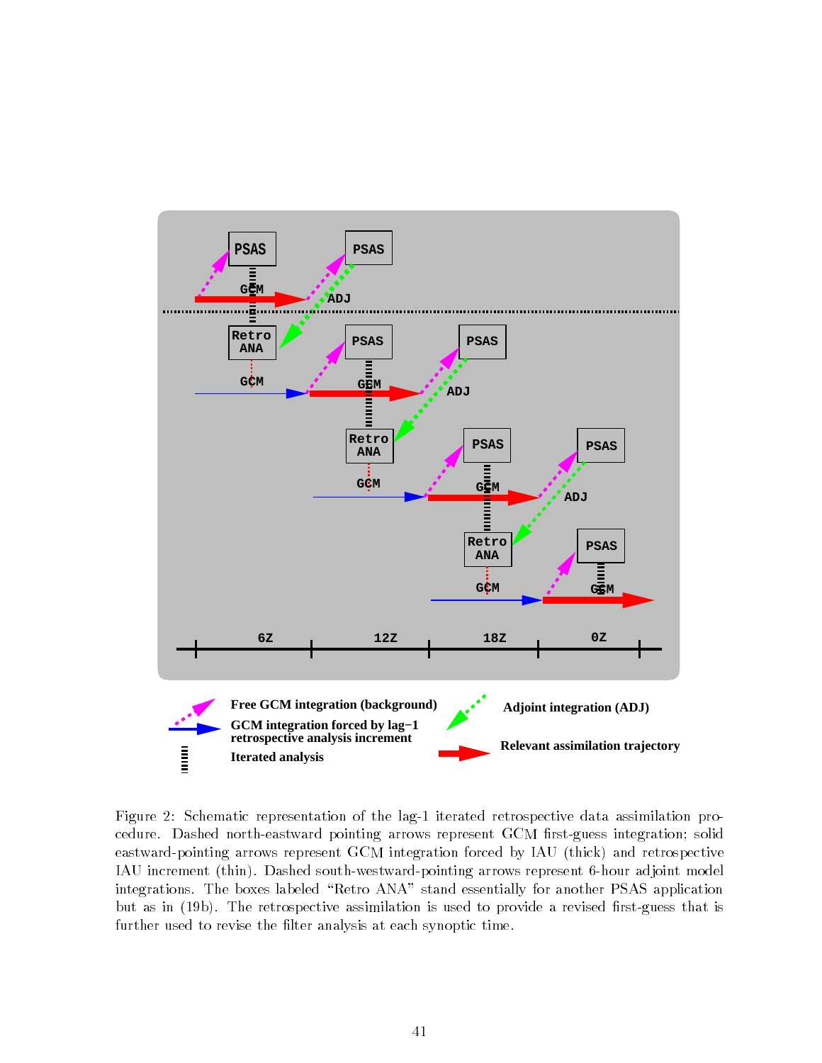

Figure 2: Schematic representation of the lag-1 iterated retrospective data assimilation procedure. Dashed north-eastward pointing arrows represent GCM first-guess integration; solid eastward-pointing arrows represent GCM integration forced by IAU (thick) and retrospective IAU increment (thin). Dashed south-westward-pointing arrows represent 6-hour adjoint model integrations. The boxes labeled "Retro ANA" stand essentially for another PSAS application but as in (19b). The retrospective assimilation is used to provide a revised first-guess that is further used to revise the filter analysis at each synoptic time.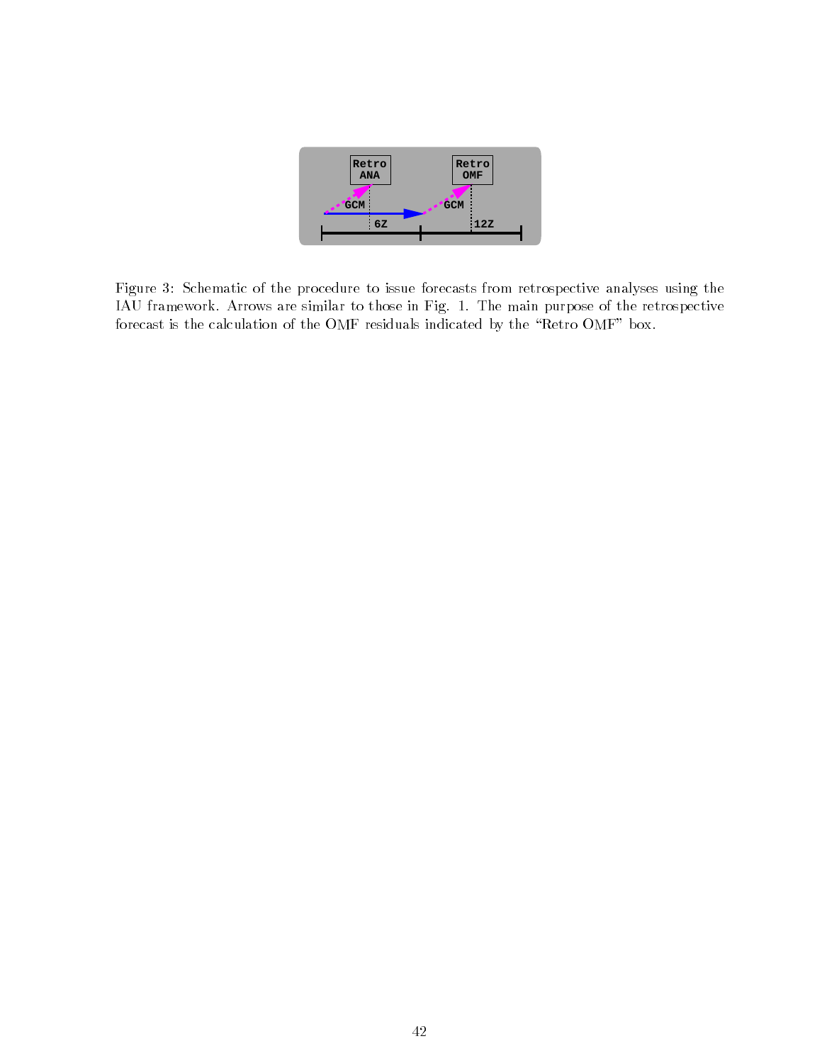

Figure 3: Schematic of the procedure to issue forecasts from retrospective analyses using the IAU framework. Arrows are similar to those in Fig. 1. The main purpose of the retrospective forecast is the calculation of the OMF residuals indicated by the "Retro OMF" box.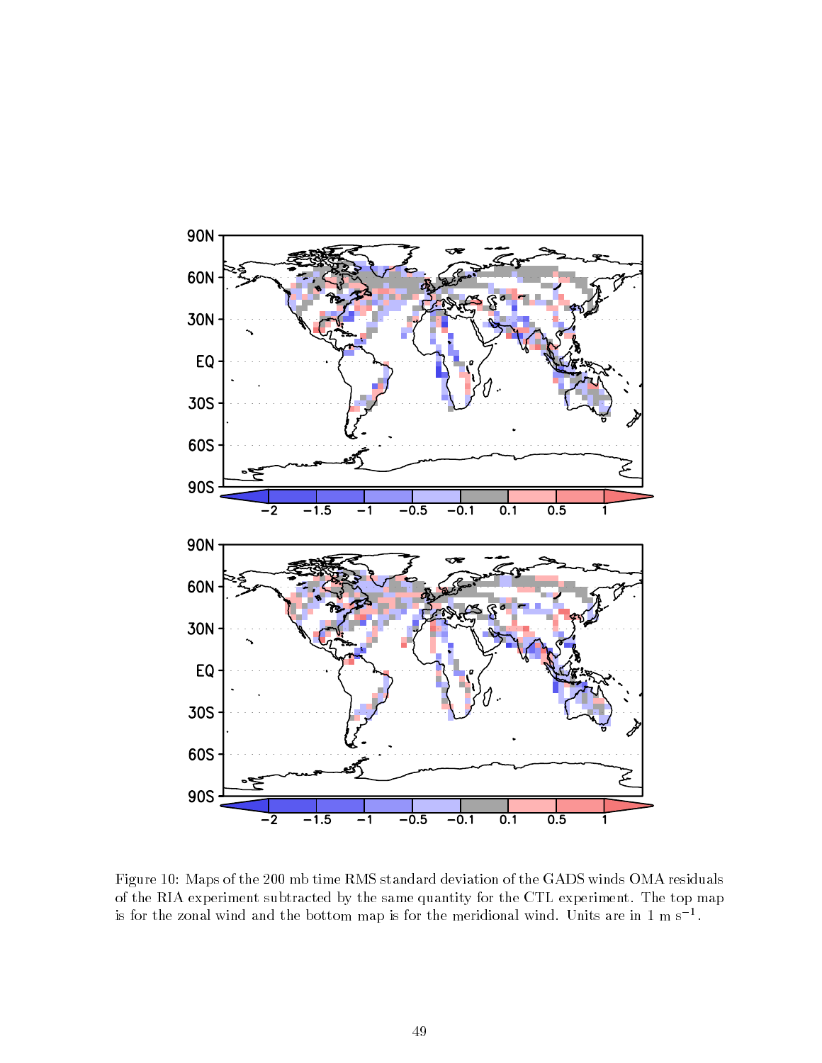

Figure 10: Maps of the 200 mb time RMS standard deviation of the GADS winds OMA residuals of the RIA experiment subtracted by the same quantity for the CTL experiment. The top map is for the zonal wind and the bottom map is for the meridional wind. Units are in 1 m s  $^\ast.$